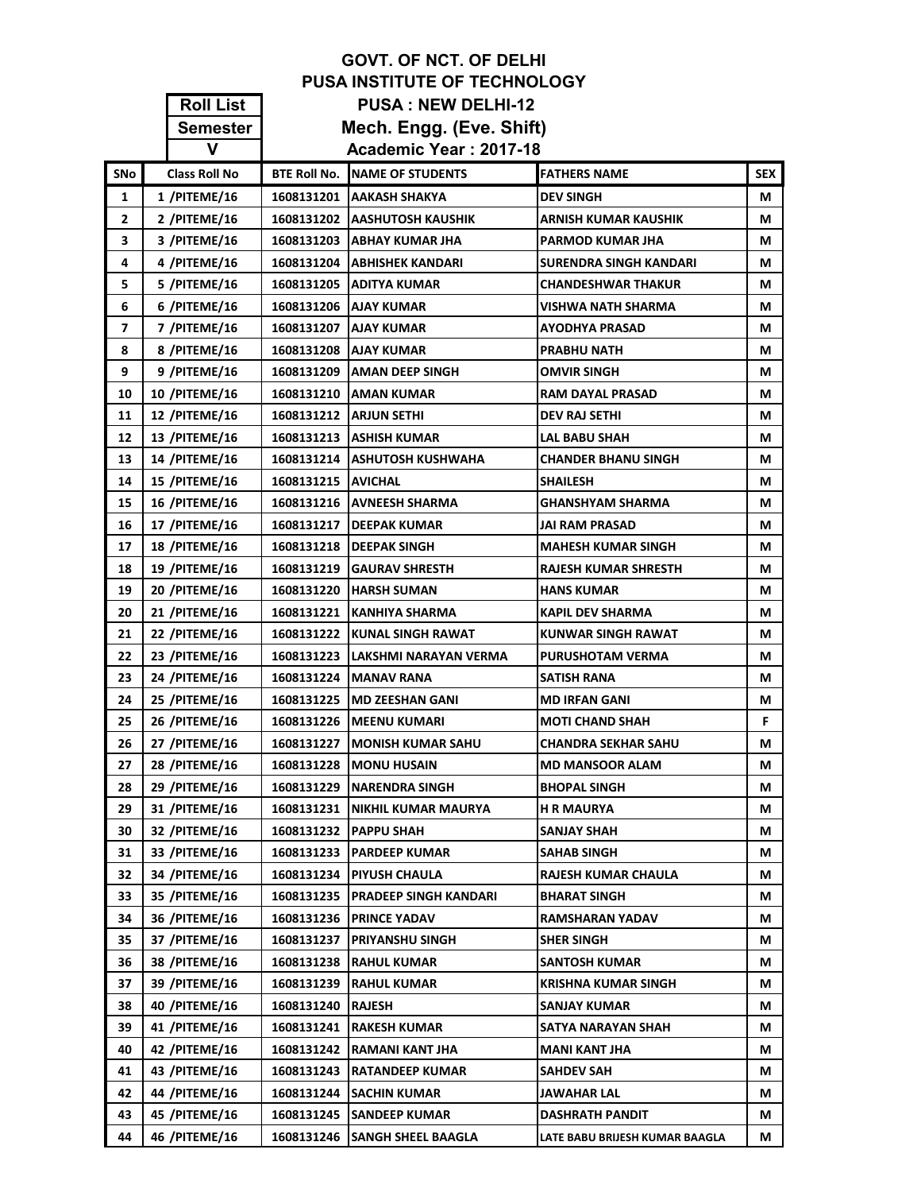|              | <b>GOVT. OF NCT. OF DELHI</b> |                           |                                |                                |            |  |  |
|--------------|-------------------------------|---------------------------|--------------------------------|--------------------------------|------------|--|--|
|              | PUSA INSTITUTE OF TECHNOLOGY  |                           |                                |                                |            |  |  |
|              | <b>Roll List</b>              | <b>PUSA: NEW DELHI-12</b> |                                |                                |            |  |  |
|              | <b>Semester</b>               |                           | Mech. Engg. (Eve. Shift)       |                                |            |  |  |
|              | V                             |                           | Academic Year: 2017-18         |                                |            |  |  |
| <b>SNo</b>   | <b>Class Roll No</b>          | <b>BTE Roll No.</b>       | <b>NAME OF STUDENTS</b>        | <b>FATHERS NAME</b>            | <b>SEX</b> |  |  |
| 1            | 1 /PITEME/16                  | 1608131201                | <b>JAAKASH SHAKYA</b>          | <b>DEV SINGH</b>               | М          |  |  |
| $\mathbf{2}$ | 2 /PITEME/16                  | 1608131202                | <b>JAASHUTOSH KAUSHIK</b>      | ARNISH KUMAR KAUSHIK           | М          |  |  |
| 3            | 3 /PITEME/16                  | 1608131203                | <b>ABHAY KUMAR JHA</b>         | PARMOD KUMAR JHA               | М          |  |  |
| 4            | 4 /PITEME/16                  | 1608131204                | ABHISHEK KANDARI               | <b>SURENDRA SINGH KANDARI</b>  | М          |  |  |
| 5            | 5 /PITEME/16                  | 1608131205                | <b>ADITYA KUMAR</b>            | <b>CHANDESHWAR THAKUR</b>      | М          |  |  |
| 6            | 6 /PITEME/16                  | 1608131206                | <b>AJAY KUMAR</b>              | <b>VISHWA NATH SHARMA</b>      | М          |  |  |
| 7            | 7 /PITEME/16                  | 1608131207                | <b>AJAY KUMAR</b>              | <b>AYODHYA PRASAD</b>          | М          |  |  |
| 8            | 8 /PITEME/16                  |                           | 1608131208   AJAY KUMAR        | <b>PRABHU NATH</b>             | м          |  |  |
| 9            | 9 /PITEME/16                  | 1608131209                | <b>AMAN DEEP SINGH</b>         | <b>OMVIR SINGH</b>             | М          |  |  |
| 10           | <b>10 /PITEME/16</b>          | 1608131210                | <b>JAMAN KUMAR</b>             | <b>RAM DAYAL PRASAD</b>        | м          |  |  |
| 11           | <b>12 /PITEME/16</b>          |                           | 1608131212   ARJUN SETHI       | <b>DEV RAJ SETHI</b>           | М          |  |  |
| 12           | 13 /PITEME/16                 | 1608131213                | <b>ASHISH KUMAR</b>            | LAL BABU SHAH                  | М          |  |  |
| 13           | 14 / PITEME/16                | 1608131214                | <b>ASHUTOSH KUSHWAHA</b>       | <b>CHANDER BHANU SINGH</b>     | М          |  |  |
| 14           | <b>15 /PITEME/16</b>          | 1608131215                | <b>AVICHAL</b>                 | <b>SHAILESH</b>                | М          |  |  |
| 15           | 16 /PITEME/16                 | 1608131216                | <b>AVNEESH SHARMA</b>          | <b>GHANSHYAM SHARMA</b>        | М          |  |  |
| 16           | 17 /PITEME/16                 | 1608131217                | <b>DEEPAK KUMAR</b>            | JAI RAM PRASAD                 | м          |  |  |
| 17           | 18 /PITEME/16                 | 1608131218                | <b>DEEPAK SINGH</b>            | <b>MAHESH KUMAR SINGH</b>      | М          |  |  |
| 18           | 19 /PITEME/16                 | 1608131219                | GAURAV SHRESTH                 | <b>RAJESH KUMAR SHRESTH</b>    | М          |  |  |
| 19           | <b>20 /PITEME/16</b>          | 1608131220                | <b>HARSH SUMAN</b>             | <b>HANS KUMAR</b>              | М          |  |  |
| 20           | 21 /PITEME/16                 | 1608131221                | <b>KANHIYA SHARMA</b>          | <b>KAPIL DEV SHARMA</b>        | М          |  |  |
| 21           | 22 /PITEME/16                 | 1608131222                | <b>KUNAL SINGH RAWAT</b>       | <b>KUNWAR SINGH RAWAT</b>      | М          |  |  |
| 22           | 23 /PITEME/16                 | 1608131223                | LAKSHMI NARAYAN VERMA          | <b>PURUSHOTAM VERMA</b>        | м          |  |  |
| 23           | 24 /PITEME/16                 | 1608131224                | IMANAV RANA                    | <b>SATISH RANA</b>             | М          |  |  |
| 24           | 25 /PITEME/16                 |                           | 1608131225   MD ZEESHAN GANI   | <b>MD IRFAN GANI</b>           | М          |  |  |
| 25           | 26 /PITEME/16                 |                           | 1608131226   MEENU KUMARI      | <b>MOTI CHAND SHAH</b>         | Е.         |  |  |
| 26           | 27 /PITEME/16                 |                           | 1608131227   MONISH KUMAR SAHU | <b>CHANDRA SEKHAR SAHU</b>     | М          |  |  |
| 27           | <b>28 /PITEME/16</b>          | 1608131228                | <b>MONU HUSAIN</b>             | <b>MD MANSOOR ALAM</b>         | М          |  |  |
| 28           | 29 /PITEME/16                 | 1608131229                | <b>NARENDRA SINGH</b>          | <b>BHOPAL SINGH</b>            | М          |  |  |
| 29           | 31 /PITEME/16                 | 1608131231                | NIKHIL KUMAR MAURYA            | <b>H R MAURYA</b>              | М          |  |  |
| 30           | 32 /PITEME/16                 | 1608131232                | <b>PAPPU SHAH</b>              | SANJAY SHAH                    | М          |  |  |
| 31           | 33 /PITEME/16                 | 1608131233                | <b>PARDEEP KUMAR</b>           | SAHAB SINGH                    | М          |  |  |
| 32           | 34 /PITEME/16                 | 1608131234                | PIYUSH CHAULA                  | <b>RAJESH KUMAR CHAULA</b>     | М          |  |  |
| 33           | 35 /PITEME/16                 | 1608131235                | <b>PRADEEP SINGH KANDARI</b>   | <b>BHARAT SINGH</b>            | М          |  |  |
| 34           | 36 /PITEME/16                 | 1608131236                | <b>PRINCE YADAV</b>            | RAMSHARAN YADAV                | М          |  |  |
| 35           | 37 /PITEME/16                 | 1608131237                | <b>PRIYANSHU SINGH</b>         | <b>SHER SINGH</b>              | м          |  |  |
| 36           | 38 /PITEME/16                 | 1608131238                | <b>RAHUL KUMAR</b>             | <b>SANTOSH KUMAR</b>           | М          |  |  |
| 37           | 39 /PITEME/16                 | 1608131239                | <b>RAHUL KUMAR</b>             | <b>KRISHNA KUMAR SINGH</b>     | М          |  |  |
| 38           | 40 /PITEME/16                 | 1608131240                | <b>RAJESH</b>                  | SANJAY KUMAR                   | М          |  |  |
| 39           | 41 /PITEME/16                 | 1608131241                | <b>RAKESH KUMAR</b>            | SATYA NARAYAN SHAH             | М          |  |  |
| 40           | 42 /PITEME/16                 | 1608131242                | RAMANI KANT JHA                | <b>MANI KANT JHA</b>           | М          |  |  |
| 41           | 43 /PITEME/16                 | 1608131243                | <b>RATANDEEP KUMAR</b>         | <b>SAHDEV SAH</b>              | М          |  |  |
| 42           | 44 /PITEME/16                 | 1608131244                | <b>SACHIN KUMAR</b>            | JAWAHAR LAL                    | М          |  |  |
| 43           | 45 /PITEME/16                 |                           | 1608131245 SANDEEP KUMAR       | <b>DASHRATH PANDIT</b>         | M          |  |  |
| 44           | 46 /PITEME/16                 |                           | 1608131246 SANGH SHEEL BAAGLA  | LATE BABU BRIJESH KUMAR BAAGLA | М          |  |  |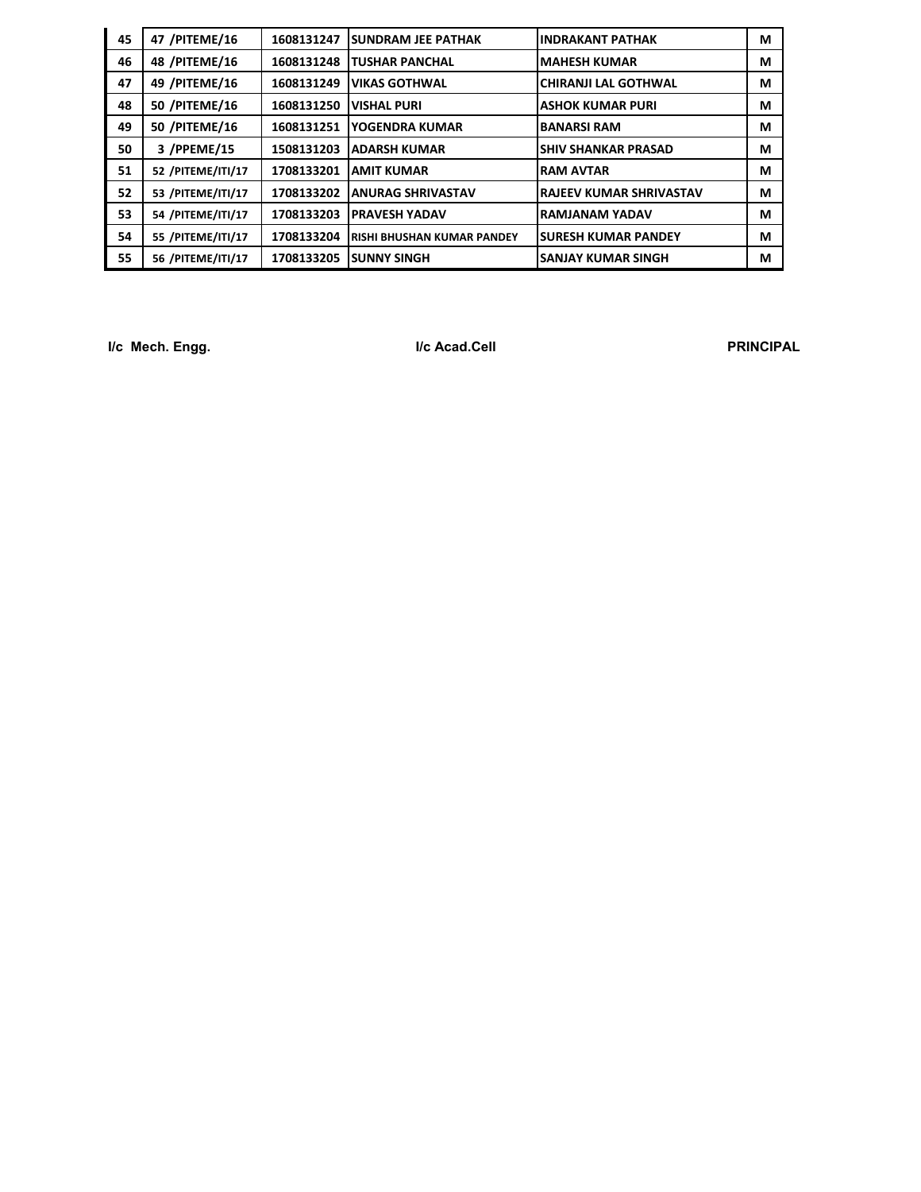| 45 | 47 /PITEME/16     | 1608131247 | <b>SUNDRAM JEE PATHAK</b>         | <b>IINDRAKANT PATHAK</b>    | М |
|----|-------------------|------------|-----------------------------------|-----------------------------|---|
| 46 | 48 / PITEME/16    | 1608131248 | TUSHAR PANCHAL                    | <b>MAHESH KUMAR</b>         | М |
| 47 | 49 /PITEME/16     | 1608131249 | <b>VIKAS GOTHWAL</b>              | CHIRANJI LAL GOTHWAL        | М |
| 48 | 50 /PITEME/16     | 1608131250 | <b>VISHAL PURI</b>                | <b>ASHOK KUMAR PURI</b>     | М |
| 49 | 50 /PITEME/16     | 1608131251 | YOGENDRA KUMAR                    | <b>BANARSI RAM</b>          | М |
| 50 | 3 /PPEME/15       | 1508131203 | <b>ADARSH KUMAR</b>               | <b>ISHIV SHANKAR PRASAD</b> | М |
| 51 | 52 /PITEME/ITI/17 | 1708133201 | <b>AMIT KUMAR</b>                 | <b>RAM AVTAR</b>            | М |
| 52 | 53 /PITEME/ITI/17 | 1708133202 | <b>ANURAG SHRIVASTAV</b>          | IRAJEEV KUMAR SHRIVASTAV    | М |
| 53 | 54 /PITEME/ITI/17 | 1708133203 | <b>PRAVESH YADAV</b>              | IRAMJANAM YADAV             | М |
| 54 | 55 /PITEME/ITI/17 | 1708133204 | <b>RISHI BHUSHAN KUMAR PANDEY</b> | <b>ISURESH KUMAR PANDEY</b> | М |
| 55 | 56 /PITEME/ITI/17 | 1708133205 | ISUNNY SINGH                      | <b>SANJAY KUMAR SINGH</b>   | М |

**I/c Mech. Engg. I/c Acad.Cell PRINCIPAL**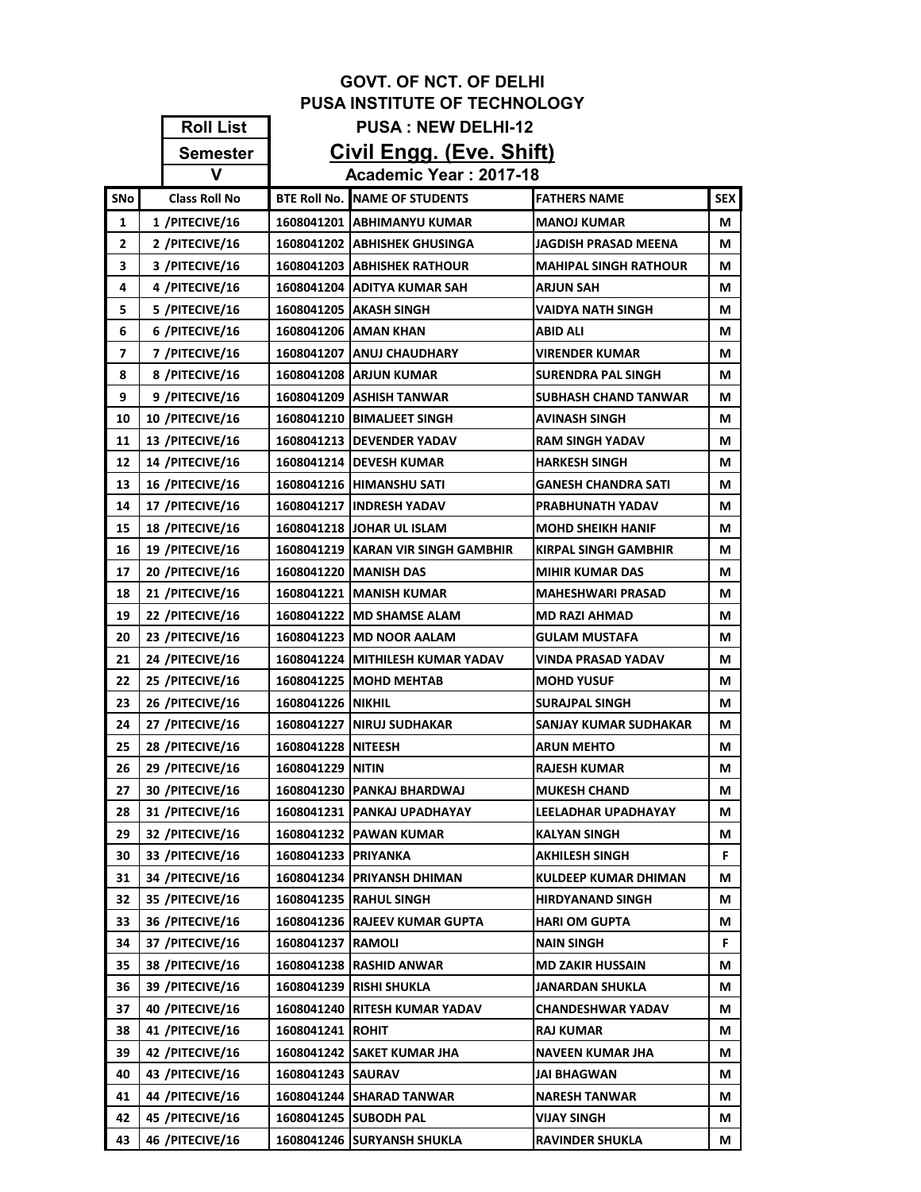|                             |                                     |                           | <b>GOVT. OF NCT. OF DELHI</b>                             |                                       |            |  |  |
|-----------------------------|-------------------------------------|---------------------------|-----------------------------------------------------------|---------------------------------------|------------|--|--|
|                             | <b>PUSA INSTITUTE OF TECHNOLOGY</b> |                           |                                                           |                                       |            |  |  |
|                             | <b>Roll List</b>                    | <b>PUSA: NEW DELHI-12</b> |                                                           |                                       |            |  |  |
|                             | <b>Semester</b>                     |                           | Civil Engg. (Eve. Shift)                                  |                                       |            |  |  |
| Academic Year: 2017-18<br>v |                                     |                           |                                                           |                                       |            |  |  |
| SNo                         | <b>Class Roll No</b>                |                           | <b>BTE Roll No. NAME OF STUDENTS</b>                      | <b>FATHERS NAME</b>                   | <b>SEX</b> |  |  |
| 1                           | 1 /PITECIVE/16                      |                           | 1608041201   ABHIMANYU KUMAR                              | <b>MANOJ KUMAR</b>                    | М          |  |  |
| 2                           | 2 /PITECIVE/16                      |                           | 1608041202 ABHISHEK GHUSINGA                              | JAGDISH PRASAD MEENA                  | М          |  |  |
| 3                           | 3 /PITECIVE/16                      |                           | 1608041203 ABHISHEK RATHOUR                               | <b>MAHIPAL SINGH RATHOUR</b>          | М          |  |  |
| 4                           | 4 /PITECIVE/16                      |                           | 1608041204 ADITYA KUMAR SAH                               | <b>ARJUN SAH</b>                      | М          |  |  |
| 5                           | 5 /PITECIVE/16                      |                           | 1608041205   AKASH SINGH                                  | VAIDYA NATH SINGH                     | М          |  |  |
| 6                           | 6 /PITECIVE/16                      |                           | 1608041206 AMAN KHAN                                      | <b>ABID ALI</b>                       | М          |  |  |
| 7                           | 7 /PITECIVE/16                      |                           | 1608041207   ANUJ CHAUDHARY                               | VIRENDER KUMAR                        | М          |  |  |
| 8                           | 8 /PITECIVE/16                      |                           | <b>1608041208 ARJUN KUMAR</b>                             | SURENDRA PAL SINGH                    | М          |  |  |
| 9                           | 9 /PITECIVE/16                      |                           | 1608041209 ASHISH TANWAR                                  | <b>SUBHASH CHAND TANWAR</b>           | М          |  |  |
| 10                          | 10 /PITECIVE/16                     |                           | 1608041210   BIMALJEET SINGH                              | AVINASH SINGH                         | М          |  |  |
| 11                          | 13 /PITECIVE/16                     |                           | 1608041213   DEVENDER YADAV                               | <b>RAM SINGH YADAV</b>                | М          |  |  |
| 12                          | 14 /PITECIVE/16                     |                           | 1608041214   DEVESH KUMAR                                 | <b>HARKESH SINGH</b>                  | М          |  |  |
| 13                          | 16 /PITECIVE/16                     |                           | <b>1608041216 HIMANSHU SATI</b>                           | GANESH CHANDRA SATI                   | M          |  |  |
| 14                          | 17 /PITECIVE/16                     |                           | 1608041217 INDRESH YADAV                                  | PRABHUNATH YADAV                      | М          |  |  |
| 15                          | 18 /PITECIVE/16                     |                           | 1608041218 JJOHAR UL ISLAM                                | <b>MOHD SHEIKH HANIF</b>              | М          |  |  |
| 16                          | 19 /PITECIVE/16                     |                           | 1608041219 KARAN VIR SINGH GAMBHIR                        | <b>KIRPAL SINGH GAMBHIR</b>           | М          |  |  |
| 17                          | 20 /PITECIVE/16                     |                           | 1608041220 MANISH DAS                                     | <b>MIHIR KUMAR DAS</b>                | М          |  |  |
| 18                          | 21 /PITECIVE/16                     |                           | 1608041221   MANISH KUMAR                                 | <b>MAHESHWARI PRASAD</b>              | М          |  |  |
| 19                          | 22 /PITECIVE/16                     |                           | 1608041222 IMD SHAMSE ALAM                                | <b>MD RAZI AHMAD</b>                  | М          |  |  |
| 20                          | 23 /PITECIVE/16                     |                           | 1608041223   MD NOOR AALAM                                | GULAM MUSTAFA                         | М          |  |  |
| 21                          | 24 /PITECIVE/16                     |                           | 1608041224 MITHILESH KUMAR YADAV                          | VINDA PRASAD YADAV                    | М          |  |  |
| 22                          | 25 /PITECIVE/16                     |                           | 1608041225 MOHD MEHTAB                                    | <b>MOHD YUSUF</b>                     | М          |  |  |
| 23                          | 26 /PITECIVE/16                     | 1608041226 NIKHIL         |                                                           | <b>SURAJPAL SINGH</b>                 | М          |  |  |
| 24                          | 27 /PITECIVE/16                     |                           | 1608041227 INIRUJ SUDHAKAR                                | SANJAY KUMAR SUDHAKAR                 | М          |  |  |
| 25                          | 28 /PITECIVE/16                     | 1608041228 NITEESH        |                                                           | <b>ARUN MEHTO</b>                     | М          |  |  |
| 26                          | 29 /PITECIVE/16                     | 1608041229 NITIN          |                                                           | <b>RAJESH KUMAR</b>                   | М          |  |  |
| 27                          | 30 /PITECIVE/16                     |                           | 1608041230  PANKAJ BHARDWAJ                               | <b>MUKESH CHAND</b>                   | M          |  |  |
| 28                          | 31 /PITECIVE/16                     |                           | 1608041231 PANKAJ UPADHAYAY                               | LEELADHAR UPADHAYAY                   | М          |  |  |
| 29                          | 32 /PITECIVE/16                     |                           | 1608041232 PAWAN KUMAR                                    | KALYAN SINGH                          | М          |  |  |
| 30                          | 33 /PITECIVE/16                     | 1608041233   PRIYANKA     |                                                           | AKHILESH SINGH                        | F.         |  |  |
| 31                          | 34 /PITECIVE/16                     |                           | 1608041234   PRIYANSH DHIMAN                              | KULDEEP KUMAR DHIMAN                  | М          |  |  |
| 32                          | 35 /PITECIVE/16                     |                           | <b>1608041235 RAHUL SINGH</b>                             | <b>HIRDYANAND SINGH</b>               | M          |  |  |
| 33<br>34                    | 36 /PITECIVE/16<br>37 /PITECIVE/16  |                           | 1608041236 RAJEEV KUMAR GUPTA                             | <b>HARI OM GUPTA</b>                  | М          |  |  |
| 35                          | 38 /PITECIVE/16                     | 1608041237 RAMOLI         | 1608041238 RASHID ANWAR                                   | NAIN SINGH<br><b>MD ZAKIR HUSSAIN</b> | F.         |  |  |
| 36                          | 39 /PITECIVE/16                     |                           |                                                           |                                       | М          |  |  |
| 37                          | 40 /PITECIVE/16                     |                           | 1608041239  RISHI SHUKLA<br>1608041240 RITESH KUMAR YADAV | JANARDAN SHUKLA<br>CHANDESHWAR YADAV  | М<br>М     |  |  |
| 38                          | 41 /PITECIVE/16                     | 1608041241  ROHIT         |                                                           | RAJ KUMAR                             | М          |  |  |
| 39                          | 42 /PITECIVE/16                     |                           | 1608041242   SAKET KUMAR JHA                              | NAVEEN KUMAR JHA                      | М          |  |  |
| 40                          | 43 /PITECIVE/16                     | 1608041243 SAURAV         |                                                           | JAI BHAGWAN                           | М          |  |  |
| 41                          | 44 /PITECIVE/16                     |                           | 1608041244 SHARAD TANWAR                                  | <b>NARESH TANWAR</b>                  | М          |  |  |
| 42                          | 45 /PITECIVE/16                     |                           | 1608041245 SUBODH PAL                                     | VIJAY SINGH                           | М          |  |  |
| 43                          | 46 /PITECIVE/16                     |                           | 1608041246  SURYANSH SHUKLA                               | RAVINDER SHUKLA                       | М          |  |  |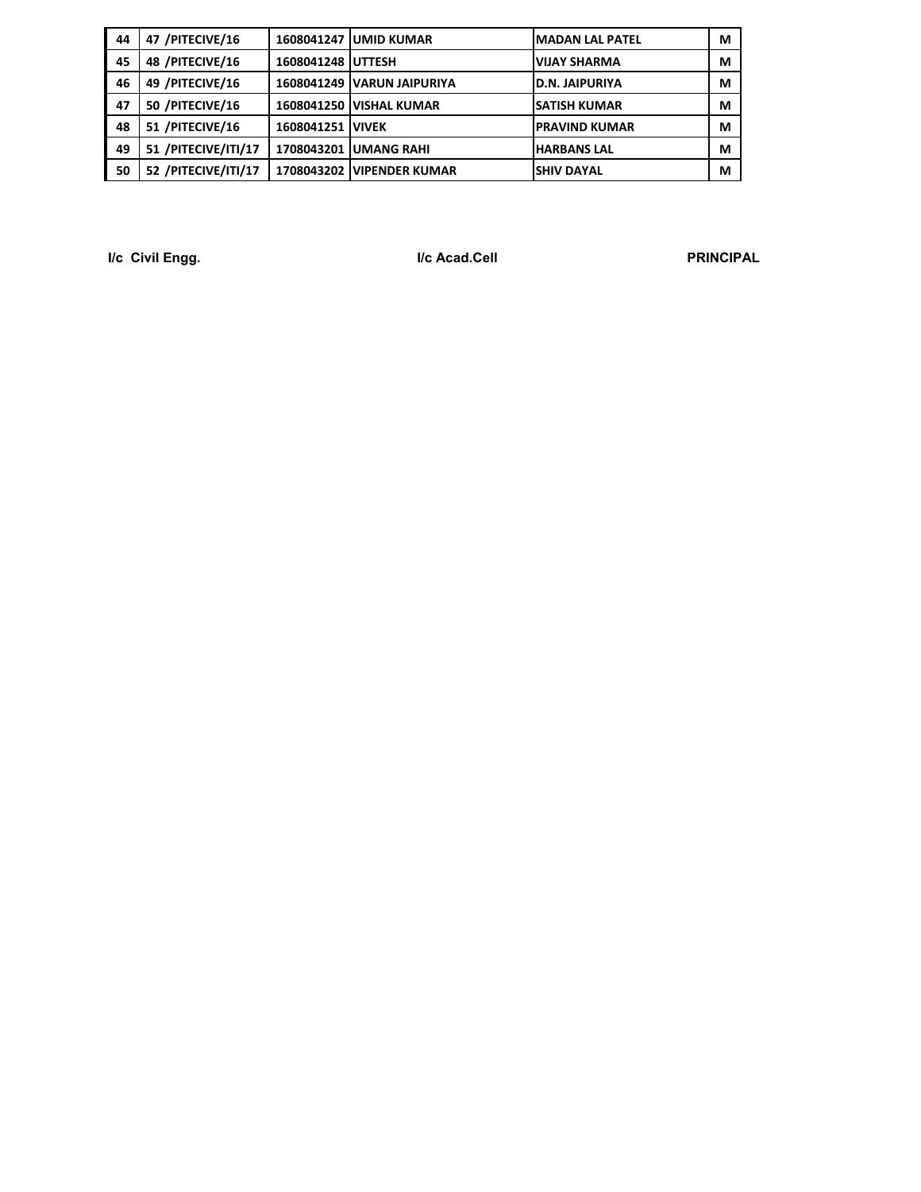| 44 | 47 /PITECIVE/16     |                   | <b>1608041247 JUMID KUMAR</b>   | <b>IMADAN LAL PATEL</b> | М |
|----|---------------------|-------------------|---------------------------------|-------------------------|---|
| 45 | 48 /PITECIVE/16     | 1608041248 UTTESH |                                 | <b>VIJAY SHARMA</b>     | М |
| 46 | 49 / PITECIVE/16    |                   | 1608041249 VARUN JAIPURIYA      | D.N. JAIPURIYA          | М |
| 47 | 50 /PITECIVE/16     |                   | <b>1608041250 IVISHAL KUMAR</b> | <b>SATISH KUMAR</b>     | М |
| 48 | 51 /PITECIVE/16     | 1608041251 VIVEK  |                                 | <b>PRAVIND KUMAR</b>    | М |
| 49 | 51 /PITECIVE/ITI/17 |                   | 1708043201 UMANG RAHI           | <b>HARBANS LAL</b>      | М |
| 50 | 52 /PITECIVE/ITI/17 |                   | 1708043202 VIPENDER KUMAR       | <b>SHIV DAYAL</b>       | М |

**I/c Civil Engg. I/c Acad.Cell PRINCIPAL**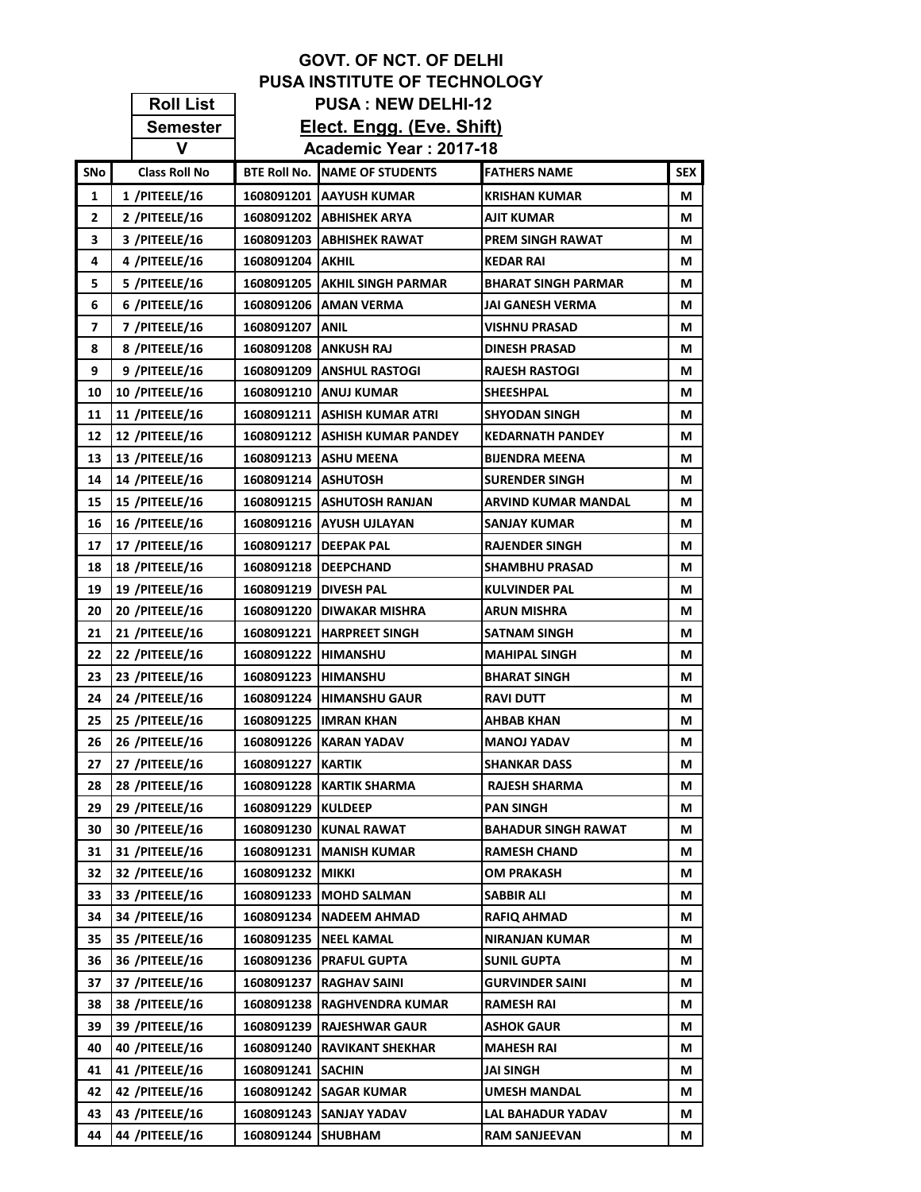|            |                       |                         | <b>GOVT. OF NCT. OF DELHI</b>         |                            |            |
|------------|-----------------------|-------------------------|---------------------------------------|----------------------------|------------|
|            |                       |                         | <b>PUSA INSTITUTE OF TECHNOLOGY</b>   |                            |            |
|            | <b>Roll List</b>      |                         | <b>PUSA: NEW DELHI-12</b>             |                            |            |
|            | <b>Semester</b>       |                         | Elect. Engg. (Eve. Shift)             |                            |            |
|            | V                     |                         | Academic Year: 2017-18                |                            |            |
| <b>SNo</b> | <b>Class Roll No</b>  |                         | <b>BTE ROII NO. INAME OF STUDENTS</b> | <b>FATHERS NAME</b>        | <b>SEX</b> |
| 1          | 1 /PITEELE/16         |                         | 1608091201   AAYUSH KUMAR             | <b>KRISHAN KUMAR</b>       | М          |
| 2          | 2 /PITEELE/16         |                         | 1608091202   ABHISHEK ARYA            | <b>AJIT KUMAR</b>          | М          |
| 3          | 3 /PITEELE/16         |                         | 1608091203 ABHISHEK RAWAT             | <b>PREM SINGH RAWAT</b>    | М          |
| 4          | 4 /PITEELE/16         | 1608091204 AKHIL        |                                       | <b>KEDAR RAI</b>           | М          |
| 5          | 5 /PITEELE/16         |                         | 1608091205   AKHIL SINGH PARMAR       | <b>BHARAT SINGH PARMAR</b> | М          |
| 6          | 6 /PITEELE/16         |                         | 1608091206   AMAN VERMA               | JAI GANESH VERMA           | М          |
| 7          | 7 /PITEELE/16         | 1608091207   ANIL       |                                       | <b>VISHNU PRASAD</b>       | М          |
| 8          | 8 /PITEELE/16         |                         | 1608091208 ANKUSH RAJ                 | <b>DINESH PRASAD</b>       | М          |
| 9          | 9 /PITEELE/16         |                         | 1608091209   ANSHUL RASTOGI           | <b>RAJESH RASTOGI</b>      | М          |
| 10         | <b>10 /PITEELE/16</b> |                         | 1608091210 ANUJ KUMAR                 | <b>SHEESHPAL</b>           | М          |
| 11         | <b>11 /PITEELE/16</b> |                         | 1608091211   ASHISH KUMAR ATRI        | <b>SHYODAN SINGH</b>       | М          |
| 12         | <b>12 /PITEELE/16</b> |                         | 1608091212   ASHISH KUMAR PANDEY      | <b>KEDARNATH PANDEY</b>    | М          |
| 13         | 13 /PITEELE/16        |                         | 1608091213 ASHU MEENA                 | <b>BIJENDRA MEENA</b>      | М          |
| 14         | <b>14 /PITEELE/16</b> | 1608091214   ASHUTOSH   |                                       | <b>SURENDER SINGH</b>      | М          |
| 15         | 15 /PITEELE/16        |                         | 1608091215 ASHUTOSH RANJAN            | ARVIND KUMAR MANDAL        | М          |
| 16         | <b>16 /PITEELE/16</b> |                         | 1608091216   AYUSH UJLAYAN            | <b>SANJAY KUMAR</b>        | М          |
| 17         | 17 /PITEELE/16        |                         | 1608091217 IDEEPAK PAL                | <b>RAJENDER SINGH</b>      | М          |
| 18         | <b>18 /PITEELE/16</b> |                         | 1608091218   DEEPCHAND                | <b>SHAMBHU PRASAD</b>      | М          |
| 19         | <b>19 /PITEELE/16</b> | 1608091219   DIVESH PAL |                                       | <b>KULVINDER PAL</b>       | М          |
| 20         | <b>20 /PITEELE/16</b> |                         | 1608091220 DIWAKAR MISHRA             | <b>ARUN MISHRA</b>         | М          |
| 21         | 21 /PITEELE/16        |                         | 1608091221  HARPREET SINGH            | <b>SATNAM SINGH</b>        | М          |
| 22         | 22 /PITEELE/16        | 1608091222  HIMANSHU    |                                       | <b>MAHIPAL SINGH</b>       | М          |
| 23         | 23 /PITEELE/16        | 1608091223  HIMANSHU    |                                       | <b>BHARAT SINGH</b>        | М          |
| 24         | 24 /PITEELE/16        |                         | 1608091224 HIMANSHU GAUR              | <b>RAVI DUTT</b>           | М          |
| 25         | 25 /PITEELE/16        |                         | 1608091225 IMRAN KHAN                 | <b>AHBAB KHAN</b>          | М          |
| 26         | <b>26 /PITEELE/16</b> | 1608091226              | <b>KARAN YADAV</b>                    | <b>MANOJ YADAV</b>         | М          |
| 27         | 27 /PITEELE/16        | 1608091227              | <b>KARTIK</b>                         | <b>SHANKAR DASS</b>        | М          |
| 28         | 28 /PITEELE/16        | 1608091228              | <b>KARTIK SHARMA</b>                  | <b>RAJESH SHARMA</b>       | М          |
| 29         | 29 /PITEELE/16        | 1608091229              | <b>KULDEEP</b>                        | <b>PAN SINGH</b>           | М          |
| 30         | 30 /PITEELE/16        | 1608091230              | <b>KUNAL RAWAT</b>                    | <b>BAHADUR SINGH RAWAT</b> | М          |
| 31         | 31 /PITEELE/16        |                         | 1608091231   MANISH KUMAR             | <b>RAMESH CHAND</b>        | М          |
| 32         | 32 /PITEELE/16        | 1608091232 MIKKI        |                                       | OM PRAKASH                 | М          |
| 33         | 33 /PITEELE/16        | 1608091233              | <b>MOHD SALMAN</b>                    | SABBIR ALI                 | М          |
| 34         | 34 /PITEELE/16        |                         | 1608091234   NADEEM AHMAD             | <b>RAFIQ AHMAD</b>         | М          |
| 35         | 35 /PITEELE/16        | 1608091235              | <b>NEEL KAMAL</b>                     | <b>NIRANJAN KUMAR</b>      | М          |
| 36         | 36 /PITEELE/16        | 1608091236              | <b>PRAFUL GUPTA</b>                   | <b>SUNIL GUPTA</b>         | М          |
| 37         | 37 /PITEELE/16        | 1608091237              | <b>RAGHAV SAINI</b>                   | <b>GURVINDER SAINI</b>     | М          |
| 38         | 38 /PITEELE/16        | 1608091238              | RAGHVENDRA KUMAR                      | <b>RAMESH RAI</b>          | М          |
| 39         | 39 /PITEELE/16        |                         | 1608091239 RAJESHWAR GAUR             | <b>ASHOK GAUR</b>          | М          |
| 40         | 40 /PITEELE/16        | 1608091240              | <b>RAVIKANT SHEKHAR</b>               | <b>MAHESH RAI</b>          | М          |
| 41         | 41 /PITEELE/16        | 1608091241 SACHIN       |                                       | <b>JAI SINGH</b>           | М          |
| 42         | 42 /PITEELE/16        | 1608091242              | <b>SAGAR KUMAR</b>                    | UMESH MANDAL               | М          |
| 43         | 43 /PITEELE/16        | 1608091243              | SANJAY YADAV                          | LAL BAHADUR YADAV          | М          |
| 44         | 44 /PITEELE/16        | 1608091244              | <b>SHUBHAM</b>                        | <b>RAM SANJEEVAN</b>       | М          |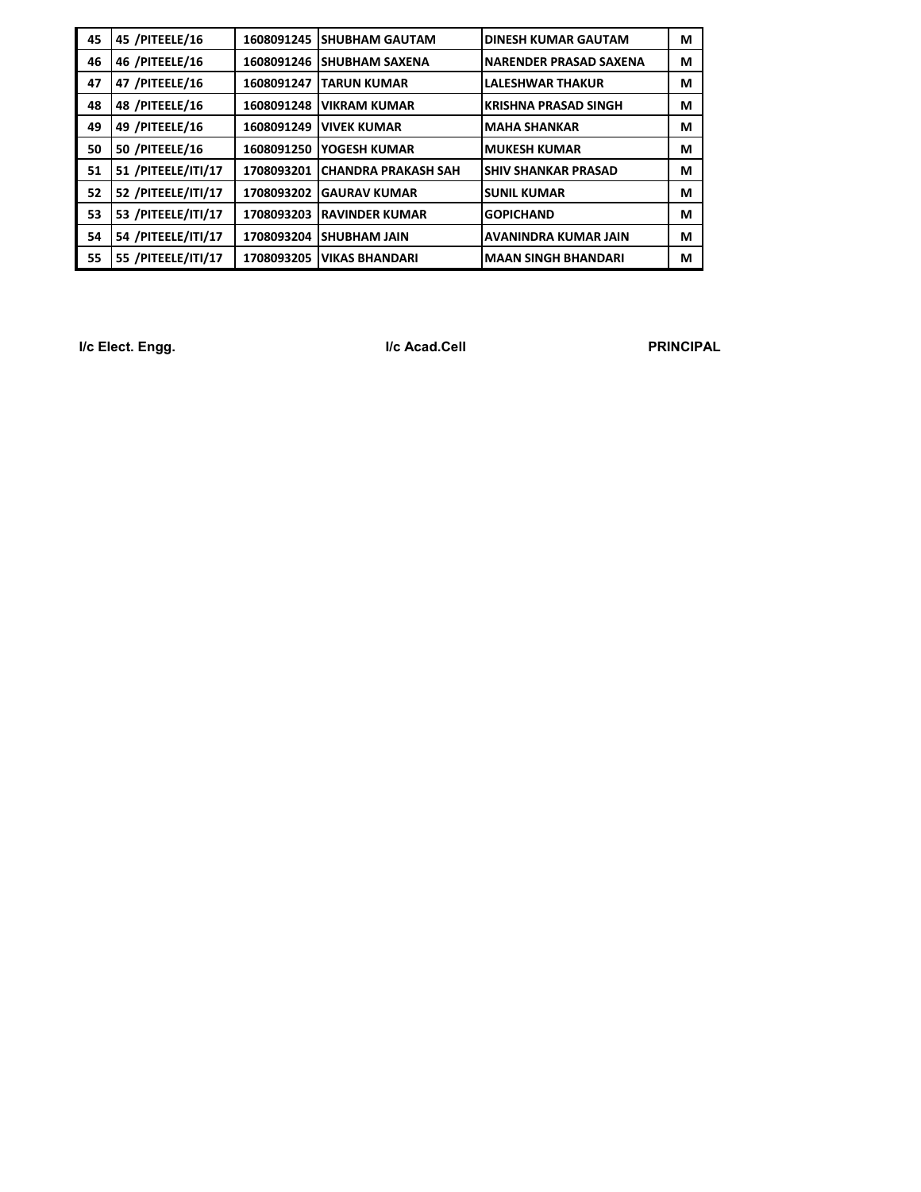| 45 | 45 /PITEELE/16     | 1608091245 | <b>ISHUBHAM GAUTAM</b>     | <b>DINESH KUMAR GAUTAM</b>  | М |
|----|--------------------|------------|----------------------------|-----------------------------|---|
| 46 | 46 /PITEELE/16     | 1608091246 | <b>ISHUBHAM SAXENA</b>     | NARENDER PRASAD SAXENA      | м |
| 47 | 47 /PITEELE/16     | 1608091247 | <b>TARUN KUMAR</b>         | <b>LALESHWAR THAKUR</b>     | М |
| 48 | 48 /PITEELE/16     | 1608091248 | <b>VIKRAM KUMAR</b>        | <b>KRISHNA PRASAD SINGH</b> | М |
| 49 | 49 /PITEELE/16     | 1608091249 | <b>IVIVEK KUMAR</b>        | <b>MAHA SHANKAR</b>         | М |
| 50 | 50 /PITEELE/16     | 1608091250 | YOGESH KUMAR               | <b>IMUKESH KUMAR</b>        | м |
| 51 | 51 /PITEELE/ITI/17 | 1708093201 | <b>CHANDRA PRAKASH SAH</b> | <b>SHIV SHANKAR PRASAD</b>  | М |
| 52 | 52 /PITEELE/ITI/17 | 1708093202 | <b>IGAURAV KUMAR</b>       | <b>SUNIL KUMAR</b>          | М |
| 53 | 53 /PITEELE/ITI/17 | 1708093203 | <b>IRAVINDER KUMAR</b>     | <b>GOPICHAND</b>            | М |
| 54 | 54 /PITEELE/ITI/17 | 1708093204 | <b>ISHUBHAM JAIN</b>       | AVANINDRA KUMAR JAIN        | М |
| 55 | 55 /PITEELE/ITI/17 | 1708093205 | <b>VIKAS BHANDARI</b>      | <b>MAAN SINGH BHANDARI</b>  | М |

**I/c Elect. Engg. I/c Acad.Cell PRINCIPAL**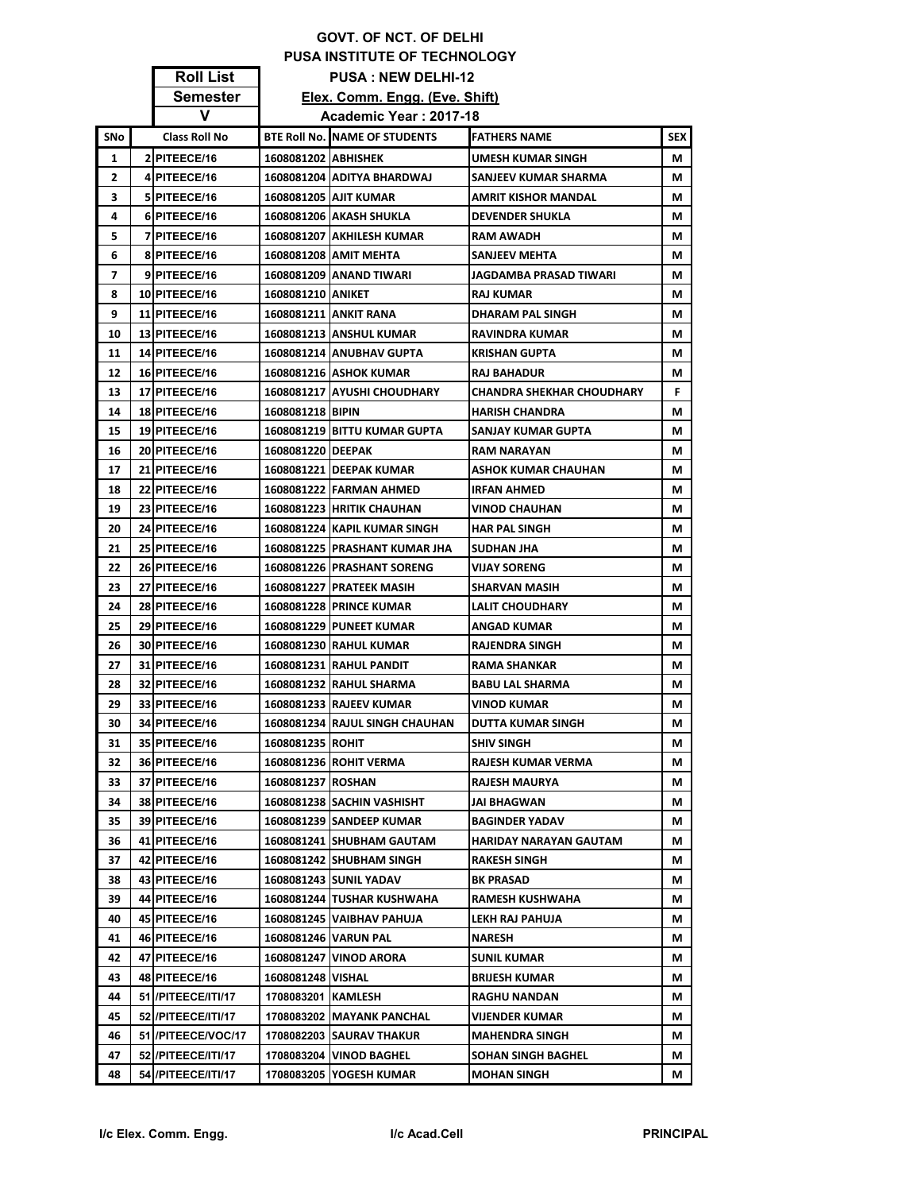## **GOVT. OF NCT. OF DELHI PUSA INSTITUTE OF TECHNOLOGY Roll List PUSA : NEW DELHI-12**

|     | .                    |                     |                                                          |                           |            |
|-----|----------------------|---------------------|----------------------------------------------------------|---------------------------|------------|
|     | Semester<br>v        |                     | Elex. Comm. Engg. (Eve. Shift)<br>Academic Year: 2017-18 |                           |            |
|     |                      |                     |                                                          |                           |            |
| SNo | <b>Class Roll No</b> |                     | <b>BTE Roll No. NAME OF STUDENTS</b>                     | FATHERS NAME              | <b>SEX</b> |
| 1   | 2 PITEECE/16         | 1608081202 ABHISHEK |                                                          | UMESH KUMAR SINGH         | М          |
| 2   | 4 PITEECE/16         |                     | 1608081204 ADITYA BHARDWAJ                               | SANJEEV KUMAR SHARMA      | М          |
| 3   | 5 PITEECE/16         |                     | 1608081205 AJIT KUMAR                                    | AMRIT KISHOR MANDAL       | М          |
| 4   | 6 PITEECE/16         |                     | 1608081206 AKASH SHUKLA                                  | <b>DEVENDER SHUKLA</b>    | М          |
| 5   | 7 PITEECE/16         |                     | 1608081207 AKHILESH KUMAR                                | RAM AWADH                 | М          |
| 6   | 8 PITEECE/16         |                     | 1608081208 AMIT MEHTA                                    | <b>SANJEEV MEHTA</b>      | М          |
| 7   | 9 PITEECE/16         |                     | 1608081209   ANAND TIWARI                                | JAGDAMBA PRASAD TIWARI    | М          |
| 8   | 10 PITEECE/16        | 1608081210 ANIKET   |                                                          | RAJ KUMAR                 | М          |
| 9   | 11 PITEECE/16        |                     | 1608081211 ANKIT RANA                                    | DHARAM PAL SINGH          | М          |
| 10  | 13 PITEECE/16        |                     | 1608081213 ANSHUL KUMAR                                  | RAVINDRA KUMAR            | М          |
| 11  | 14 PITEECE/16        |                     | 1608081214   ANUBHAV GUPTA                               | KRISHAN GUPTA             | М          |
| 12  | 16 PITEECE/16        |                     | 1608081216 ASHOK KUMAR                                   | RAJ BAHADUR               | М          |
| 13  | 17 PITEECE/16        |                     | 1608081217 AYUSHI CHOUDHARY                              | CHANDRA SHEKHAR CHOUDHARY | F.         |
| 14  | 18 PITEECE/16        | 1608081218 BIPIN    |                                                          | <b>HARISH CHANDRA</b>     | М          |
| 15  | 19 PITEECE/16        |                     | 1608081219 BITTU KUMAR GUPTA                             | SANJAY KUMAR GUPTA        | М          |
| 16  | 20 PITEECE/16        | 1608081220 DEEPAK   |                                                          | <b>RAM NARAYAN</b>        | М          |
| 17  | 21 PITEECE/16        |                     | 1608081221 DEEPAK KUMAR                                  | ASHOK KUMAR CHAUHAN       | М          |
| 18  | 22 PITEECE/16        |                     | 1608081222 FARMAN AHMED                                  | IRFAN AHMED               | М          |
| 19  | 23 PITEECE/16        |                     | 1608081223 HRITIK CHAUHAN                                | VINOD CHAUHAN             | М          |
| 20  | 24 PITEECE/16        |                     | 1608081224   KAPIL KUMAR SINGH                           | <b>HAR PAL SINGH</b>      | М          |
| 21  | 25 PITEECE/16        |                     | 1608081225 PRASHANT KUMAR JHA                            | SUDHAN JHA                | М          |
| 22  | 26 PITEECE/16        |                     | 1608081226 PRASHANT SORENG                               | VIJAY SORENG              | М          |
| 23  | 27 PITEECE/16        |                     | 1608081227 PRATEEK MASIH                                 | SHARVAN MASIH             | М          |
| 24  | 28 PITEECE/16        |                     | <b>1608081228   PRINCE KUMAR</b>                         | <b>LALIT CHOUDHARY</b>    | М          |
| 25  | 29 PITEECE/16        |                     | 1608081229   PUNEET KUMAR                                | ANGAD KUMAR               | М          |
| 26  | 30 PITEECE/16        |                     | 1608081230 RAHUL KUMAR                                   | RAJENDRA SINGH            | М          |
| 27  | 31 PITEECE/16        |                     | 1608081231 RAHUL PANDIT                                  | <b>RAMA SHANKAR</b>       | М          |
| 28  | 32 PITEECE/16        |                     | 1608081232 RAHUL SHARMA                                  | <b>BABU LAL SHARMA</b>    | М          |
| 29  | 33 PITEECE/16        |                     | 1608081233 RAJEEV KUMAR                                  | <b>VINOD KUMAR</b>        | М          |
| 30  | 34 PITEECE/16        |                     | 1608081234 RAJUL SINGH CHAUHAN                           | DUTTA KUMAR SINGH         | м          |
| 31  | 35 PITEECE/16        | 1608081235 ROHIT    |                                                          | SHIV SINGH                | М          |
| 32  | 36 PITEECE/16        |                     | 1608081236 ROHIT VERMA                                   | RAJESH KUMAR VERMA        | М          |
| 33  | 37 PITEECE/16        | 1608081237 ROSHAN   |                                                          | RAJESH MAURYA             | М          |
| 34  | 38 PITEECE/16        |                     | 1608081238 SACHIN VASHISHT                               | <b>JAI BHAGWAN</b>        | М          |
| 35  | 39 PITEECE/16        |                     | 1608081239 SANDEEP KUMAR                                 | BAGINDER YADAV            | М          |
| 36  | 41 PITEECE/16        |                     | 1608081241 SHUBHAM GAUTAM                                | HARIDAY NARAYAN GAUTAM    | М          |
| 37  | 42 PITEECE/16        |                     | 1608081242 SHUBHAM SINGH                                 | <b>RAKESH SINGH</b>       | М          |
| 38  | 43 PITEECE/16        |                     | 1608081243 SUNIL YADAV                                   | BK PRASAD                 | М          |
| 39  | 44 PITEECE/16        |                     | 1608081244 TUSHAR KUSHWAHA                               | <b>RAMESH KUSHWAHA</b>    | М          |
| 40  | 45 PITEECE/16        |                     | 1608081245 VAIBHAV PAHUJA                                | LEKH RAJ PAHUJA           | М          |
| 41  | 46 PITEECE/16        |                     | 1608081246 VARUN PAL                                     | NARESH                    | М          |
| 42  | 47 PITEECE/16        |                     | 1608081247 VINOD ARORA                                   | <b>SUNIL KUMAR</b>        | М          |
| 43  | 48 PITEECE/16        | 1608081248 VISHAL   |                                                          | BRIJESH KUMAR             | М          |
| 44  | 51 / PITEECE/ITI/17  | 1708083201 KAMLESH  |                                                          | RAGHU NANDAN              | М          |
| 45  | 52 / PITEECE/ITI/17  |                     | 1708083202 MAYANK PANCHAL                                | VIJENDER KUMAR            | М          |
| 46  | 51 /PITEECE/VOC/17   |                     | <b>1708082203 SAURAV THAKUR</b>                          | <b>MAHENDRA SINGH</b>     | М          |
| 47  | 52 / PITEECE/ITI/17  |                     | 1708083204   VINOD BAGHEL                                | SOHAN SINGH BAGHEL        | М          |
| 48  | 54 / PITEECE/ITI/17  |                     | 1708083205   YOGESH KUMAR                                | <b>MOHAN SINGH</b>        | М          |

Г